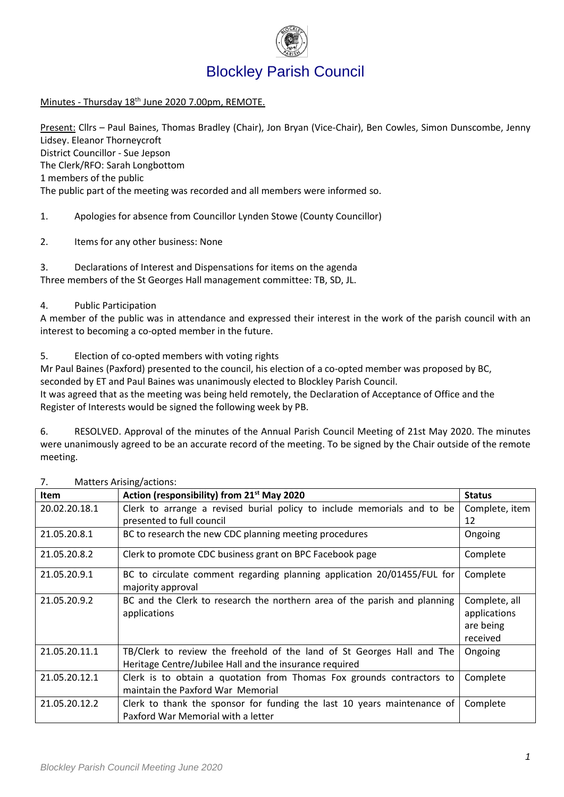

# Blockley Parish Council

Minutes - Thursday 18<sup>th</sup> June 2020 7.00pm, REMOTE.

Present: Cllrs – Paul Baines, Thomas Bradley (Chair), Jon Bryan (Vice-Chair), Ben Cowles, Simon Dunscombe, Jenny Lidsey. Eleanor Thorneycroft District Councillor - Sue Jepson The Clerk/RFO: Sarah Longbottom 1 members of the public The public part of the meeting was recorded and all members were informed so.

1. Apologies for absence from Councillor Lynden Stowe (County Councillor)

2. Items for any other business: None

3. Declarations of Interest and Dispensations for items on the agenda Three members of the St Georges Hall management committee: TB, SD, JL.

### 4. Public Participation

A member of the public was in attendance and expressed their interest in the work of the parish council with an interest to becoming a co-opted member in the future.

5. Election of co-opted members with voting rights

Mr Paul Baines (Paxford) presented to the council, his election of a co-opted member was proposed by BC, seconded by ET and Paul Baines was unanimously elected to Blockley Parish Council. It was agreed that as the meeting was being held remotely, the Declaration of Acceptance of Office and the Register of Interests would be signed the following week by PB.

6. RESOLVED. Approval of the minutes of the Annual Parish Council Meeting of 21st May 2020. The minutes were unanimously agreed to be an accurate record of the meeting. To be signed by the Chair outside of the remote meeting.

| <b>Item</b>   | Action (responsibility) from 21 <sup>st</sup> May 2020                    | <b>Status</b>  |
|---------------|---------------------------------------------------------------------------|----------------|
| 20.02.20.18.1 | Clerk to arrange a revised burial policy to include memorials and to be   | Complete, item |
|               | presented to full council                                                 | 12             |
| 21.05.20.8.1  | BC to research the new CDC planning meeting procedures                    | Ongoing        |
| 21.05.20.8.2  | Clerk to promote CDC business grant on BPC Facebook page                  | Complete       |
| 21.05.20.9.1  | BC to circulate comment regarding planning application 20/01455/FUL for   | Complete       |
|               | majority approval                                                         |                |
| 21.05.20.9.2  | BC and the Clerk to research the northern area of the parish and planning | Complete, all  |
|               | applications                                                              | applications   |
|               |                                                                           | are being      |
|               |                                                                           | received       |
| 21.05.20.11.1 | TB/Clerk to review the freehold of the land of St Georges Hall and The    | Ongoing        |
|               | Heritage Centre/Jubilee Hall and the insurance required                   |                |
| 21.05.20.12.1 | Clerk is to obtain a quotation from Thomas Fox grounds contractors to     | Complete       |
|               | maintain the Paxford War Memorial                                         |                |
| 21.05.20.12.2 | Clerk to thank the sponsor for funding the last 10 years maintenance of   | Complete       |
|               | Paxford War Memorial with a letter                                        |                |

7. Matters Arising/actions: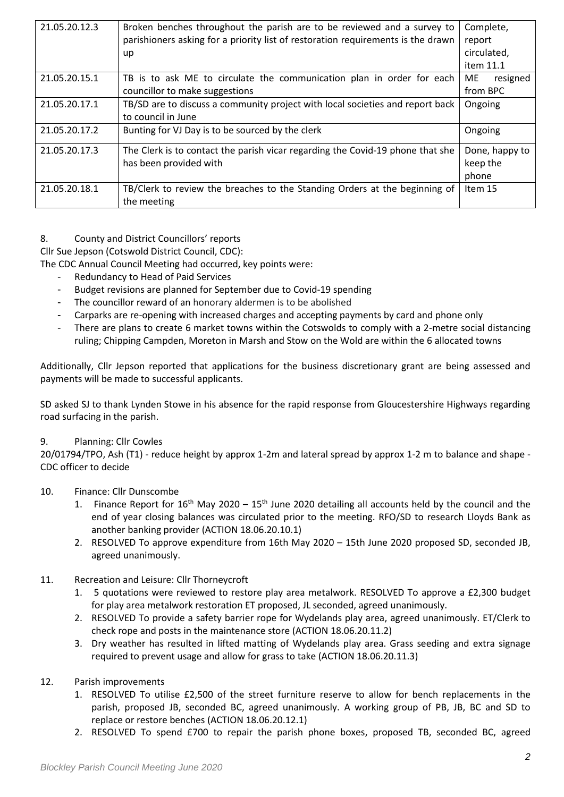| 21.05.20.12.3 | Broken benches throughout the parish are to be reviewed and a survey to          |                |  |  |
|---------------|----------------------------------------------------------------------------------|----------------|--|--|
|               | parishioners asking for a priority list of restoration requirements is the drawn | report         |  |  |
|               | up                                                                               | circulated,    |  |  |
|               |                                                                                  | item 11.1      |  |  |
| 21.05.20.15.1 | TB is to ask ME to circulate the communication plan in order for each            | ME<br>resigned |  |  |
|               | councillor to make suggestions                                                   | from BPC       |  |  |
| 21.05.20.17.1 | TB/SD are to discuss a community project with local societies and report back    | Ongoing        |  |  |
|               | to council in June                                                               |                |  |  |
| 21.05.20.17.2 | Bunting for VJ Day is to be sourced by the clerk                                 | Ongoing        |  |  |
| 21.05.20.17.3 | The Clerk is to contact the parish vicar regarding the Covid-19 phone that she   | Done, happy to |  |  |
|               | has been provided with                                                           | keep the       |  |  |
|               |                                                                                  | phone          |  |  |
| 21.05.20.18.1 | TB/Clerk to review the breaches to the Standing Orders at the beginning of       | Item 15        |  |  |
|               | the meeting                                                                      |                |  |  |

#### 8. County and District Councillors' reports

Cllr Sue Jepson (Cotswold District Council, CDC):

The CDC Annual Council Meeting had occurred, key points were:

- Redundancy to Head of Paid Services
- Budget revisions are planned for September due to Covid-19 spending
- The councillor reward of an honorary aldermen is to be abolished
- Carparks are re-opening with increased charges and accepting payments by card and phone only
- There are plans to create 6 market towns within the Cotswolds to comply with a 2-metre social distancing ruling; Chipping Campden, Moreton in Marsh and Stow on the Wold are within the 6 allocated towns

Additionally, Cllr Jepson reported that applications for the business discretionary grant are being assessed and payments will be made to successful applicants.

SD asked SJ to thank Lynden Stowe in his absence for the rapid response from Gloucestershire Highways regarding road surfacing in the parish.

#### 9. Planning: Cllr Cowles

20/01794/TPO, Ash (T1) - reduce height by approx 1-2m and lateral spread by approx 1-2 m to balance and shape - CDC officer to decide

#### 10. Finance: Cllr Dunscombe

- 1. Finance Report for  $16<sup>th</sup>$  May 2020  $15<sup>th</sup>$  June 2020 detailing all accounts held by the council and the end of year closing balances was circulated prior to the meeting. RFO/SD to research Lloyds Bank as another banking provider (ACTION 18.06.20.10.1)
- 2. RESOLVED To approve expenditure from 16th May 2020 15th June 2020 proposed SD, seconded JB, agreed unanimously.
- 11. Recreation and Leisure: Cllr Thorneycroft
	- 1. 5 quotations were reviewed to restore play area metalwork. RESOLVED To approve a £2,300 budget for play area metalwork restoration ET proposed, JL seconded, agreed unanimously.
	- 2. RESOLVED To provide a safety barrier rope for Wydelands play area, agreed unanimously. ET/Clerk to check rope and posts in the maintenance store (ACTION 18.06.20.11.2)
	- 3. Dry weather has resulted in lifted matting of Wydelands play area. Grass seeding and extra signage required to prevent usage and allow for grass to take (ACTION 18.06.20.11.3)

#### 12. Parish improvements

- 1. RESOLVED To utilise £2,500 of the street furniture reserve to allow for bench replacements in the parish, proposed JB, seconded BC, agreed unanimously. A working group of PB, JB, BC and SD to replace or restore benches (ACTION 18.06.20.12.1)
- 2. RESOLVED To spend £700 to repair the parish phone boxes, proposed TB, seconded BC, agreed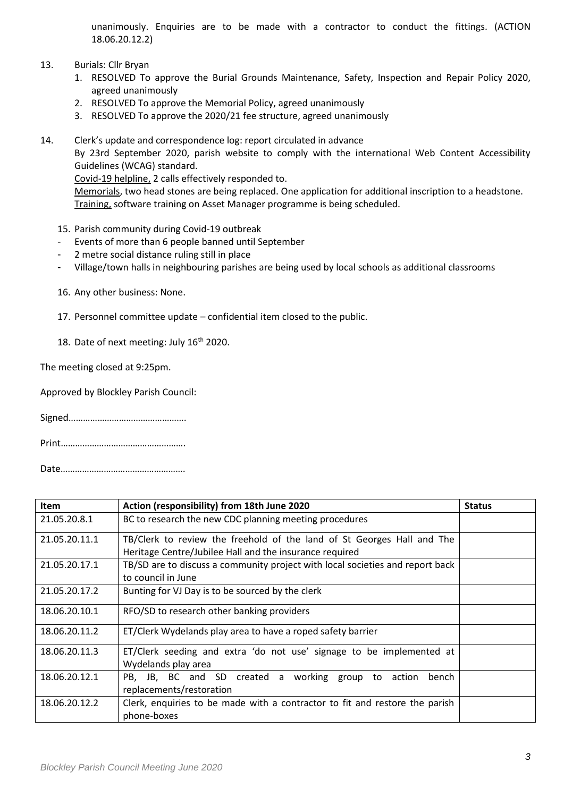unanimously. Enquiries are to be made with a contractor to conduct the fittings. (ACTION 18.06.20.12.2)

- 13. Burials: Cllr Bryan
	- 1. RESOLVED To approve the Burial Grounds Maintenance, Safety, Inspection and Repair Policy 2020, agreed unanimously
	- 2. RESOLVED To approve the Memorial Policy, agreed unanimously
	- 3. RESOLVED To approve the 2020/21 fee structure, agreed unanimously
- 14. Clerk's update and correspondence log: report circulated in advance By 23rd September 2020, parish website to comply with the international Web Content Accessibility Guidelines (WCAG) standard. Covid-19 helpline, 2 calls effectively responded to. Memorials, two head stones are being replaced. One application for additional inscription to a headstone. Training, software training on Asset Manager programme is being scheduled.
	- 15. Parish community during Covid-19 outbreak
	- Events of more than 6 people banned until September
	- 2 metre social distance ruling still in place
	- Village/town halls in neighbouring parishes are being used by local schools as additional classrooms
	- 16. Any other business: None.
	- 17. Personnel committee update confidential item closed to the public.
	- 18. Date of next meeting: July 16<sup>th</sup> 2020.

The meeting closed at 9:25pm.

Approved by Blockley Parish Council:

Signed………………………………………….

Print…………………………………………….

Date…………………………………………….

| <b>Item</b>   | Action (responsibility) from 18th June 2020                                   | <b>Status</b> |  |  |
|---------------|-------------------------------------------------------------------------------|---------------|--|--|
| 21.05.20.8.1  | BC to research the new CDC planning meeting procedures                        |               |  |  |
| 21.05.20.11.1 | TB/Clerk to review the freehold of the land of St Georges Hall and The        |               |  |  |
|               | Heritage Centre/Jubilee Hall and the insurance required                       |               |  |  |
| 21.05.20.17.1 | TB/SD are to discuss a community project with local societies and report back |               |  |  |
|               | to council in June                                                            |               |  |  |
| 21.05.20.17.2 | Bunting for VJ Day is to be sourced by the clerk                              |               |  |  |
| 18.06.20.10.1 | RFO/SD to research other banking providers                                    |               |  |  |
| 18.06.20.11.2 | ET/Clerk Wydelands play area to have a roped safety barrier                   |               |  |  |
| 18.06.20.11.3 | ET/Clerk seeding and extra 'do not use' signage to be implemented at          |               |  |  |
|               | Wydelands play area                                                           |               |  |  |
| 18.06.20.12.1 | PB, JB, BC and SD created a working group to action<br>bench                  |               |  |  |
|               | replacements/restoration                                                      |               |  |  |
| 18.06.20.12.2 | Clerk, enquiries to be made with a contractor to fit and restore the parish   |               |  |  |
|               | phone-boxes                                                                   |               |  |  |